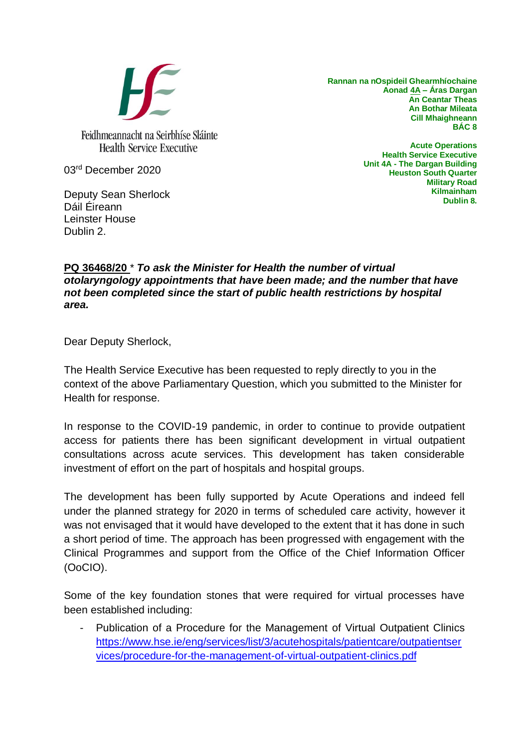

**Rannan na nOspideil Ghearmhíochaine Aonad 4A – Áras Dargan An Ceantar Theas An Bothar Mileata Cill Mhaighneann BÁC 8**

03rd December 2020

Deputy Sean Sherlock Dáil Éireann Leinster House Dublin 2.

**Acute Operations Health Service Executive Unit 4A - The Dargan Building Heuston South Quarter Military Road Kilmainham Dublin 8.**

## **PQ 36468/20** \* *To ask the Minister for Health the number of virtual otolaryngology appointments that have been made; and the number that have not been completed since the start of public health restrictions by hospital area.*

Dear Deputy Sherlock,

The Health Service Executive has been requested to reply directly to you in the context of the above Parliamentary Question, which you submitted to the Minister for Health for response.

In response to the COVID-19 pandemic, in order to continue to provide outpatient access for patients there has been significant development in virtual outpatient consultations across acute services. This development has taken considerable investment of effort on the part of hospitals and hospital groups.

The development has been fully supported by Acute Operations and indeed fell under the planned strategy for 2020 in terms of scheduled care activity, however it was not envisaged that it would have developed to the extent that it has done in such a short period of time. The approach has been progressed with engagement with the Clinical Programmes and support from the Office of the Chief Information Officer (OoCIO).

Some of the key foundation stones that were required for virtual processes have been established including:

Publication of a Procedure for the Management of Virtual Outpatient Clinics [https://www.hse.ie/eng/services/list/3/acutehospitals/patientcare/outpatientser](https://scanmail.trustwave.com/?c=17268&d=7ZLw3mfuKrohJfKKIBODa-QQaTsgmV5oudcuNTnGsA&s=343&u=https%3a%2f%2fwww%2ehse%2eie%2feng%2fservices%2flist%2f3%2facutehospitals%2fpatientcare%2foutpatientservices%2fprocedure-for-the-management-of-virtual-outpatient-clinics%2epdf) [vices/procedure-for-the-management-of-virtual-outpatient-clinics.pdf](https://scanmail.trustwave.com/?c=17268&d=7ZLw3mfuKrohJfKKIBODa-QQaTsgmV5oudcuNTnGsA&s=343&u=https%3a%2f%2fwww%2ehse%2eie%2feng%2fservices%2flist%2f3%2facutehospitals%2fpatientcare%2foutpatientservices%2fprocedure-for-the-management-of-virtual-outpatient-clinics%2epdf)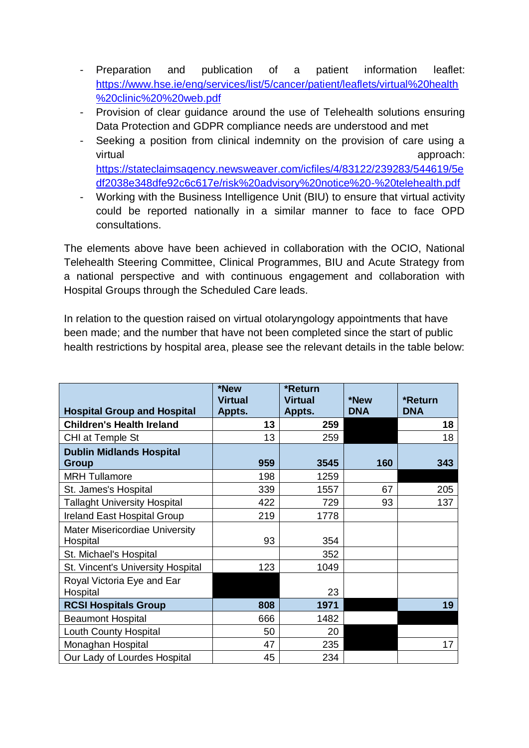- Preparation and publication of a patient information leaflet: [https://www.hse.ie/eng/services/list/5/cancer/patient/leaflets/virtual%20health](https://www.hse.ie/eng/services/list/5/cancer/patient/leaflets/virtual%20health%20clinic%20%20web.pdf) [%20clinic%20%20web.pdf](https://www.hse.ie/eng/services/list/5/cancer/patient/leaflets/virtual%20health%20clinic%20%20web.pdf)
- Provision of clear guidance around the use of Telehealth solutions ensuring Data Protection and GDPR compliance needs are understood and met
- Seeking a position from clinical indemnity on the provision of care using a virtual approach: [https://stateclaimsagency.newsweaver.com/icfiles/4/83122/239283/544619/5e](https://stateclaimsagency.newsweaver.com/icfiles/4/83122/239283/544619/5edf2038e348dfe92c6c617e/risk%20advisory%20notice%20-%20telehealth.pdf) [df2038e348dfe92c6c617e/risk%20advisory%20notice%20-%20telehealth.pdf](https://stateclaimsagency.newsweaver.com/icfiles/4/83122/239283/544619/5edf2038e348dfe92c6c617e/risk%20advisory%20notice%20-%20telehealth.pdf)
- Working with the Business Intelligence Unit (BIU) to ensure that virtual activity could be reported nationally in a similar manner to face to face OPD consultations.

The elements above have been achieved in collaboration with the OCIO, National Telehealth Steering Committee, Clinical Programmes, BIU and Acute Strategy from a national perspective and with continuous engagement and collaboration with Hospital Groups through the Scheduled Care leads.

In relation to the question raised on virtual otolaryngology appointments that have been made; and the number that have not been completed since the start of public health restrictions by hospital area, please see the relevant details in the table below:

|                                            | *New<br><b>Virtual</b> | *Return<br><b>Virtual</b> | *New       | *Return    |
|--------------------------------------------|------------------------|---------------------------|------------|------------|
| <b>Hospital Group and Hospital</b>         | Appts.                 | Appts.                    | <b>DNA</b> | <b>DNA</b> |
| <b>Children's Health Ireland</b>           | 13                     | 259                       |            | 18         |
| CHI at Temple St                           | 13                     | 259                       |            | 18         |
| <b>Dublin Midlands Hospital</b>            | 959                    | 3545                      | 160        | 343        |
| Group<br><b>MRH Tullamore</b>              | 198                    | 1259                      |            |            |
| St. James's Hospital                       | 339                    | 1557                      | 67         | 205        |
| <b>Tallaght University Hospital</b>        | 422                    | 729                       | 93         | 137        |
| <b>Ireland East Hospital Group</b>         | 219                    | 1778                      |            |            |
| Mater Misericordiae University<br>Hospital | 93                     | 354                       |            |            |
| St. Michael's Hospital                     |                        | 352                       |            |            |
| St. Vincent's University Hospital          | 123                    | 1049                      |            |            |
| Royal Victoria Eye and Ear<br>Hospital     |                        | 23                        |            |            |
| <b>RCSI Hospitals Group</b>                | 808                    | 1971                      |            | 19         |
| <b>Beaumont Hospital</b>                   | 666                    | 1482                      |            |            |
| Louth County Hospital                      | 50                     | 20                        |            |            |
| Monaghan Hospital                          | 47                     | 235                       |            | 17         |
| Our Lady of Lourdes Hospital               | 45                     | 234                       |            |            |